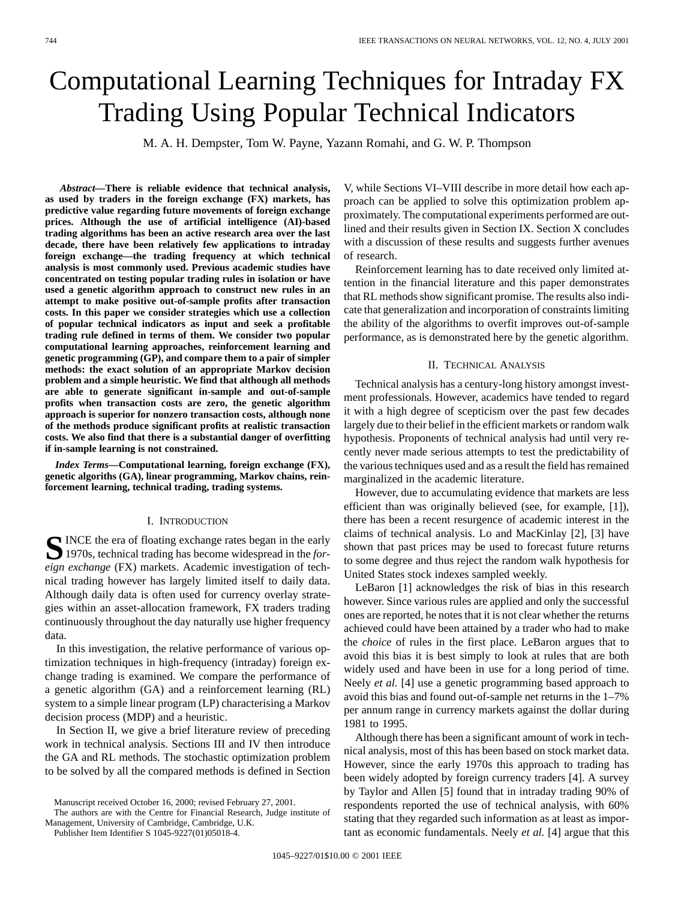# Computational Learning Techniques for Intraday FX Trading Using Popular Technical Indicators

M. A. H. Dempster, Tom W. Payne, Yazann Romahi, and G. W. P. Thompson

*Abstract—***There is reliable evidence that technical analysis, as used by traders in the foreign exchange (FX) markets, has predictive value regarding future movements of foreign exchange prices. Although the use of artificial intelligence (AI)-based trading algorithms has been an active research area over the last decade, there have been relatively few applications to intraday foreign exchange—the trading frequency at which technical analysis is most commonly used. Previous academic studies have concentrated on testing popular trading rules in isolation or have used a genetic algorithm approach to construct new rules in an attempt to make positive out-of-sample profits after transaction costs. In this paper we consider strategies which use a collection of popular technical indicators as input and seek a profitable trading rule defined in terms of them. We consider two popular computational learning approaches, reinforcement learning and genetic programming (GP), and compare them to a pair of simpler methods: the exact solution of an appropriate Markov decision problem and a simple heuristic. We find that although all methods are able to generate significant in-sample and out-of-sample profits when transaction costs are zero, the genetic algorithm approach is superior for nonzero transaction costs, although none of the methods produce significant profits at realistic transaction costs. We also find that there is a substantial danger of overfitting if in-sample learning is not constrained.**

*Index Terms—***Computational learning, foreign exchange (FX), genetic algoriths (GA), linear programming, Markov chains, reinforcement learning, technical trading, trading systems.**

## I. INTRODUCTION

**S**INCE the era of floating exchange rates began in the early 1970s, technical trading has become widespread in the *foreign exchange* (FX) markets. Academic investigation of technical trading however has largely limited itself to daily data. Although daily data is often used for currency overlay strategies within an asset-allocation framework, FX traders trading continuously throughout the day naturally use higher frequency data.

In this investigation, the relative performance of various optimization techniques in high-frequency (intraday) foreign exchange trading is examined. We compare the performance of a genetic algorithm (GA) and a reinforcement learning (RL) system to a simple linear program (LP) characterising a Markov decision process (MDP) and a heuristic.

In Section II, we give a brief literature review of preceding work in technical analysis. Sections III and IV then introduce the GA and RL methods. The stochastic optimization problem to be solved by all the compared methods is defined in Section

Manuscript received October 16, 2000; revised February 27, 2001.

The authors are with the Centre for Financial Research, Judge institute of Management, University of Cambridge, Cambridge, U.K.

Publisher Item Identifier S 1045-9227(01)05018-4.

V, while Sections VI–VIII describe in more detail how each approach can be applied to solve this optimization problem approximately. The computational experiments performed are outlined and their results given in Section IX. Section X concludes with a discussion of these results and suggests further avenues of research.

Reinforcement learning has to date received only limited attention in the financial literature and this paper demonstrates that RL methods show significant promise. The results also indicate that generalization and incorporation of constraints limiting the ability of the algorithms to overfit improves out-of-sample performance, as is demonstrated here by the genetic algorithm.

#### II. TECHNICAL ANALYSIS

Technical analysis has a century-long history amongst investment professionals. However, academics have tended to regard it with a high degree of scepticism over the past few decades largely due to their belief in the efficient markets or random walk hypothesis. Proponents of technical analysis had until very recently never made serious attempts to test the predictability of the various techniques used and as a result the field has remained marginalized in the academic literature.

However, due to accumulating evidence that markets are less efficient than was originally believed (see, for example, [1]), there has been a recent resurgence of academic interest in the claims of technical analysis. Lo and MacKinlay [2], [3] have shown that past prices may be used to forecast future returns to some degree and thus reject the random walk hypothesis for United States stock indexes sampled weekly.

LeBaron [1] acknowledges the risk of bias in this research however. Since various rules are applied and only the successful ones are reported, he notes that it is not clear whether the returns achieved could have been attained by a trader who had to make the *choice* of rules in the first place. LeBaron argues that to avoid this bias it is best simply to look at rules that are both widely used and have been in use for a long period of time. Neely *et al.* [4] use a genetic programming based approach to avoid this bias and found out-of-sample net returns in the 1–7% per annum range in currency markets against the dollar during 1981 to 1995.

Although there has been a significant amount of work in technical analysis, most of this has been based on stock market data. However, since the early 1970s this approach to trading has been widely adopted by foreign currency traders [4]. A survey by Taylor and Allen [5] found that in intraday trading 90% of respondents reported the use of technical analysis, with 60% stating that they regarded such information as at least as important as economic fundamentals. Neely *et al.* [4] argue that this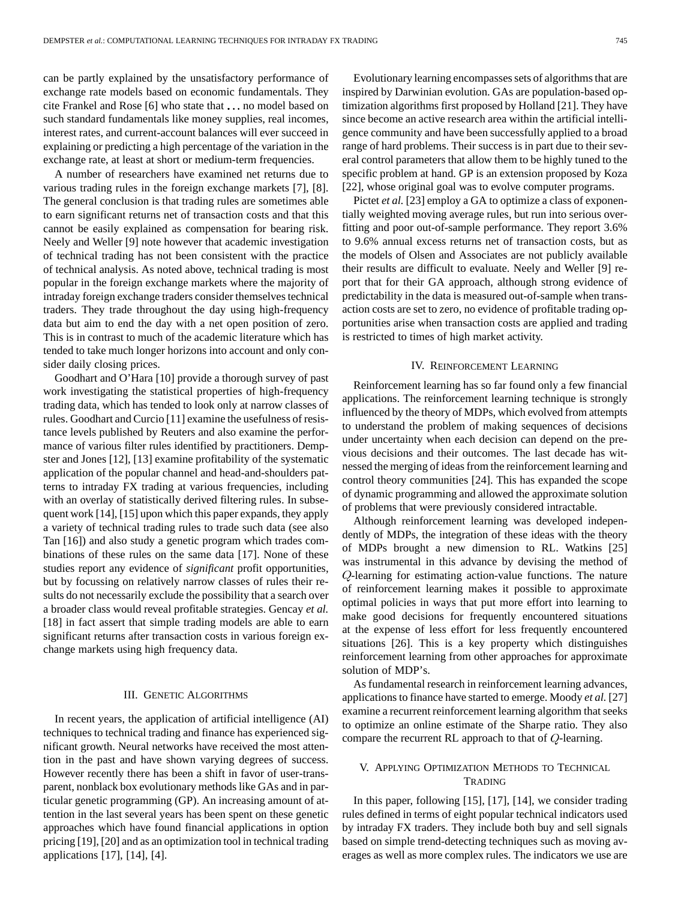can be partly explained by the unsatisfactory performance of exchange rate models based on economic fundamentals. They cite Frankel and Rose [6] who state that ... no model based on such standard fundamentals like money supplies, real incomes, interest rates, and current-account balances will ever succeed in explaining or predicting a high percentage of the variation in the exchange rate, at least at short or medium-term frequencies.

A number of researchers have examined net returns due to various trading rules in the foreign exchange markets [7], [8]. The general conclusion is that trading rules are sometimes able to earn significant returns net of transaction costs and that this cannot be easily explained as compensation for bearing risk. Neely and Weller [9] note however that academic investigation of technical trading has not been consistent with the practice of technical analysis. As noted above, technical trading is most popular in the foreign exchange markets where the majority of intraday foreign exchange traders consider themselves technical traders. They trade throughout the day using high-frequency data but aim to end the day with a net open position of zero. This is in contrast to much of the academic literature which has tended to take much longer horizons into account and only consider daily closing prices.

Goodhart and O'Hara [10] provide a thorough survey of past work investigating the statistical properties of high-frequency trading data, which has tended to look only at narrow classes of rules. Goodhart and Curcio [11] examine the usefulness of resistance levels published by Reuters and also examine the performance of various filter rules identified by practitioners. Dempster and Jones [12], [13] examine profitability of the systematic application of the popular channel and head-and-shoulders patterns to intraday FX trading at various frequencies, including with an overlay of statistically derived filtering rules. In subsequent work [14], [15] upon which this paper expands, they apply a variety of technical trading rules to trade such data (see also Tan [16]) and also study a genetic program which trades combinations of these rules on the same data [17]. None of these studies report any evidence of *significant* profit opportunities, but by focussing on relatively narrow classes of rules their results do not necessarily exclude the possibility that a search over a broader class would reveal profitable strategies. Gencay *et al.* [18] in fact assert that simple trading models are able to earn significant returns after transaction costs in various foreign exchange markets using high frequency data.

## III. GENETIC ALGORITHMS

In recent years, the application of artificial intelligence (AI) techniques to technical trading and finance has experienced significant growth. Neural networks have received the most attention in the past and have shown varying degrees of success. However recently there has been a shift in favor of user-transparent, nonblack box evolutionary methods like GAs and in particular genetic programming (GP). An increasing amount of attention in the last several years has been spent on these genetic approaches which have found financial applications in option pricing [19], [20] and as an optimization tool in technical trading applications [17], [14], [4].

Evolutionary learning encompasses sets of algorithms that are inspired by Darwinian evolution. GAs are population-based optimization algorithms first proposed by Holland [21]. They have since become an active research area within the artificial intelligence community and have been successfully applied to a broad range of hard problems. Their success is in part due to their several control parameters that allow them to be highly tuned to the specific problem at hand. GP is an extension proposed by Koza [22], whose original goal was to evolve computer programs.

Pictet *et al.* [23] employ a GA to optimize a class of exponentially weighted moving average rules, but run into serious overfitting and poor out-of-sample performance. They report 3.6% to 9.6% annual excess returns net of transaction costs, but as the models of Olsen and Associates are not publicly available their results are difficult to evaluate. Neely and Weller [9] report that for their GA approach, although strong evidence of predictability in the data is measured out-of-sample when transaction costs are set to zero, no evidence of profitable trading opportunities arise when transaction costs are applied and trading is restricted to times of high market activity.

#### IV. REINFORCEMENT LEARNING

Reinforcement learning has so far found only a few financial applications. The reinforcement learning technique is strongly influenced by the theory of MDPs, which evolved from attempts to understand the problem of making sequences of decisions under uncertainty when each decision can depend on the previous decisions and their outcomes. The last decade has witnessed the merging of ideas from the reinforcement learning and control theory communities [24]. This has expanded the scope of dynamic programming and allowed the approximate solution of problems that were previously considered intractable.

Although reinforcement learning was developed independently of MDPs, the integration of these ideas with the theory of MDPs brought a new dimension to RL. Watkins [25] was instrumental in this advance by devising the method of  $Q$ -learning for estimating action-value functions. The nature of reinforcement learning makes it possible to approximate optimal policies in ways that put more effort into learning to make good decisions for frequently encountered situations at the expense of less effort for less frequently encountered situations [26]. This is a key property which distinguishes reinforcement learning from other approaches for approximate solution of MDP's.

As fundamental research in reinforcement learning advances, applications to finance have started to emerge. Moody *et al.* [27] examine a recurrent reinforcement learning algorithm that seeks to optimize an online estimate of the Sharpe ratio. They also compare the recurrent RL approach to that of  $Q$ -learning.

# V. APPLYING OPTIMIZATION METHODS TO TECHNICAL TRADING

In this paper, following [15], [17], [14], we consider trading rules defined in terms of eight popular technical indicators used by intraday FX traders. They include both buy and sell signals based on simple trend-detecting techniques such as moving averages as well as more complex rules. The indicators we use are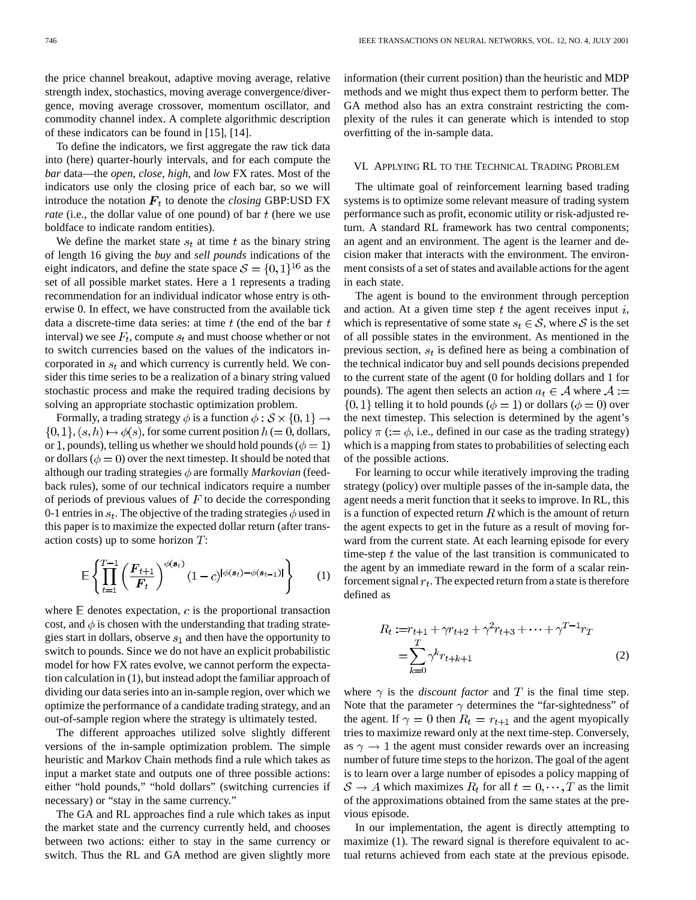the price channel breakout, adaptive moving average, relative strength index, stochastics, moving average convergence/divergence, moving average crossover, momentum oscillator, and commodity channel index. A complete algorithmic description of these indicators can be found in [15], [14].

To define the indicators, we first aggregate the raw tick data into (here) quarter-hourly intervals, and for each compute the *bar* data—the *open*, *close*, *high*, and *low* FX rates. Most of the indicators use only the closing price of each bar, so we will introduce the notation  $\mathbf{F}_t$  to denote the *closing* GBP:USD FX *rate* (i.e., the dollar value of one pound) of bar t (here we use boldface to indicate random entities).

We define the market state  $s_t$  at time t as the binary string of length 16 giving the *buy* and *sell pounds* indications of the eight indicators, and define the state space  $S = \{0, 1\}^{16}$  as the set of all possible market states. Here a 1 represents a trading recommendation for an individual indicator whose entry is otherwise 0. In effect, we have constructed from the available tick data a discrete-time data series: at time  $t$  (the end of the bar  $t$ interval) we see  $F_t$ , compute  $s_t$  and must choose whether or not to switch currencies based on the values of the indicators incorporated in  $s_t$  and which currency is currently held. We consider this time series to be a realization of a binary string valued stochastic process and make the required trading decisions by solving an appropriate stochastic optimization problem.

Formally, a trading strategy  $\phi$  is a function  $\phi : \mathcal{S} \times \{0,1\} \rightarrow$  $\{0,1\}, (s,h) \mapsto \phi(s)$ , for some current position  $h (= 0,$  dollars, or 1, pounds), telling us whether we should hold pounds ( $\phi = 1$ ) or dollars ( $\phi = 0$ ) over the next timestep. It should be noted that although our trading strategies  $\phi$  are formally *Markovian* (feedback rules), some of our technical indicators require a number of periods of previous values of  $F$  to decide the corresponding 0-1 entries in  $s_t$ . The objective of the trading strategies  $\phi$  used in this paper is to maximize the expected dollar return (after transaction costs) up to some horizon  $T$ :

$$
\mathbb{E}\left\{\prod_{t=1}^{T-1} \left(\frac{\boldsymbol{F}_{t+1}}{\boldsymbol{F}_t}\right)^{\phi(\boldsymbol{s}_t)} (1-c)^{|\phi(\boldsymbol{s}_t)-\phi(\boldsymbol{s}_{t-1})|}\right\} \qquad (1)
$$

where  $E$  denotes expectation,  $c$  is the proportional transaction cost, and  $\phi$  is chosen with the understanding that trading strategies start in dollars, observe  $s_1$  and then have the opportunity to switch to pounds. Since we do not have an explicit probabilistic model for how FX rates evolve, we cannot perform the expectation calculation in (1), but instead adopt the familiar approach of dividing our data series into an in-sample region, over which we optimize the performance of a candidate trading strategy, and an out-of-sample region where the strategy is ultimately tested.

The different approaches utilized solve slightly different versions of the in-sample optimization problem. The simple heuristic and Markov Chain methods find a rule which takes as input a market state and outputs one of three possible actions: either "hold pounds," "hold dollars" (switching currencies if necessary) or "stay in the same currency."

The GA and RL approaches find a rule which takes as input the market state and the currency currently held, and chooses between two actions: either to stay in the same currency or switch. Thus the RL and GA method are given slightly more information (their current position) than the heuristic and MDP methods and we might thus expect them to perform better. The GA method also has an extra constraint restricting the complexity of the rules it can generate which is intended to stop overfitting of the in-sample data.

# VI. APPLYING RL TO THE TECHNICAL TRADING PROBLEM

The ultimate goal of reinforcement learning based trading systems is to optimize some relevant measure of trading system performance such as profit, economic utility or risk-adjusted return. A standard RL framework has two central components; an agent and an environment. The agent is the learner and decision maker that interacts with the environment. The environment consists of a set of states and available actions for the agent in each state.

The agent is bound to the environment through perception and action. At a given time step  $t$  the agent receives input  $i$ , which is representative of some state  $s_t \in S$ , where S is the set of all possible states in the environment. As mentioned in the previous section,  $s_t$  is defined here as being a combination of the technical indicator buy and sell pounds decisions prepended to the current state of the agent (0 for holding dollars and 1 for pounds). The agent then selects an action  $a_t \in A$  where  $A :=$  $\{0,1\}$  telling it to hold pounds ( $\phi = 1$ ) or dollars ( $\phi = 0$ ) over the next timestep. This selection is determined by the agent's policy  $\pi$  ( $:= \phi$ , i.e., defined in our case as the trading strategy) which is a mapping from states to probabilities of selecting each of the possible actions.

For learning to occur while iteratively improving the trading strategy (policy) over multiple passes of the in-sample data, the agent needs a merit function that it seeks to improve. In RL, this is a function of expected return  $R$  which is the amount of return the agent expects to get in the future as a result of moving forward from the current state. At each learning episode for every time-step  $t$  the value of the last transition is communicated to the agent by an immediate reward in the form of a scalar reinforcement signal  $r_t$ . The expected return from a state is therefore defined as

$$
R_t := r_{t+1} + \gamma r_{t+2} + \gamma^2 r_{t+3} + \dots + \gamma^{T-1} r_T
$$
  
= 
$$
\sum_{k=0}^T \gamma^k r_{t+k+1}
$$
 (2)

where  $\gamma$  is the *discount factor* and T is the final time step. Note that the parameter  $\gamma$  determines the "far-sightedness" of the agent. If  $\gamma = 0$  then  $R_t = r_{t+1}$  and the agent myopically tries to maximize reward only at the next time-step. Conversely, as  $\gamma \rightarrow 1$  the agent must consider rewards over an increasing number of future time steps to the horizon. The goal of the agent is to learn over a large number of episodes a policy mapping of  $S \to A$  which maximizes  $R_t$  for all  $t = 0, \dots, T$  as the limit of the approximations obtained from the same states at the previous episode.

In our implementation, the agent is directly attempting to maximize (1). The reward signal is therefore equivalent to actual returns achieved from each state at the previous episode.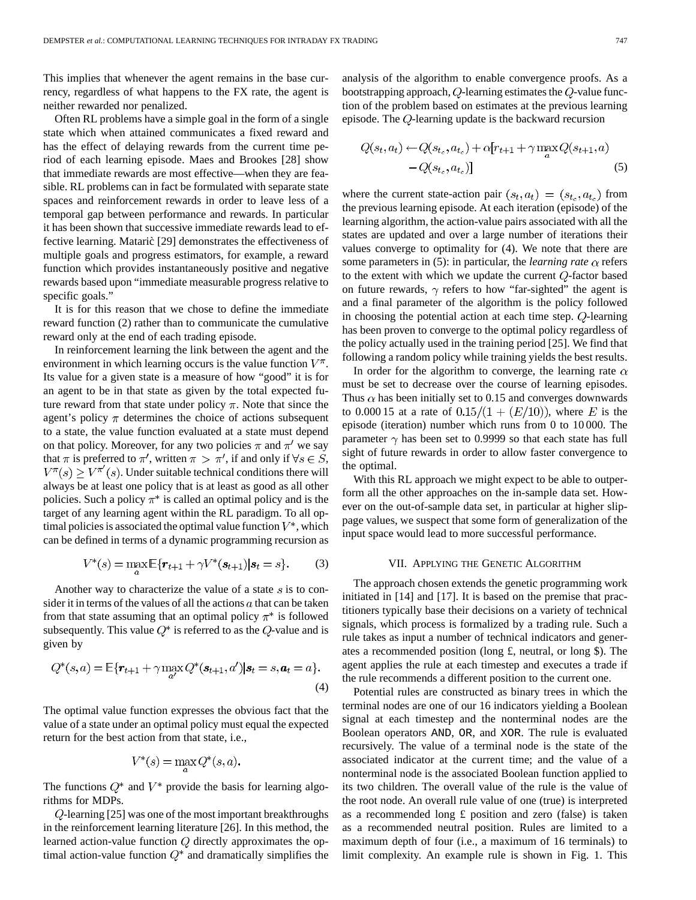This implies that whenever the agent remains in the base currency, regardless of what happens to the FX rate, the agent is neither rewarded nor penalized.

Often RL problems have a simple goal in the form of a single state which when attained communicates a fixed reward and has the effect of delaying rewards from the current time period of each learning episode. Maes and Brookes [28] show that immediate rewards are most effective—when they are feasible. RL problems can in fact be formulated with separate state spaces and reinforcement rewards in order to leave less of a temporal gap between performance and rewards. In particular it has been shown that successive immediate rewards lead to effective learning. Mataric<sup>[29]</sup> demonstrates the effectiveness of multiple goals and progress estimators, for example, a reward function which provides instantaneously positive and negative rewards based upon "immediate measurable progress relative to specific goals."

It is for this reason that we chose to define the immediate reward function (2) rather than to communicate the cumulative reward only at the end of each trading episode.

In reinforcement learning the link between the agent and the environment in which learning occurs is the value function  $V^{\pi}$ . Its value for a given state is a measure of how "good" it is for an agent to be in that state as given by the total expected future reward from that state under policy  $\pi$ . Note that since the agent's policy  $\pi$  determines the choice of actions subsequent to a state, the value function evaluated at a state must depend on that policy. Moreover, for any two policies  $\pi$  and  $\pi'$  we say that  $\pi$  is preferred to  $\pi'$ , written  $\pi > \pi'$ , if and only if  $\forall s \in S$ ,  $V^{\pi}(s) > V^{\pi'}(s)$ . Under suitable technical conditions there will always be at least one policy that is at least as good as all other policies. Such a policy  $\pi^*$  is called an optimal policy and is the target of any learning agent within the RL paradigm. To all optimal policies is associated the optimal value function  $V^*$ , which can be defined in terms of a dynamic programming recursion as

$$
V^*(s) = \max_a \mathbb{E}\{r_{t+1} + \gamma V^*(s_{t+1}) | s_t = s\}.
$$
 (3)

Another way to characterize the value of a state  $s$  is to consider it in terms of the values of all the actions  $\alpha$  that can be taken from that state assuming that an optimal policy  $\pi^*$  is followed subsequently. This value  $Q^*$  is referred to as the  $Q$ -value and is given by

$$
Q^*(s, a) = \mathbb{E}\{\mathbf{r}_{t+1} + \gamma \max_{a'} Q^*(\mathbf{s}_{t+1}, a') | \mathbf{s}_t = s, \mathbf{a}_t = a\}.
$$
\n(4)

The optimal value function expresses the obvious fact that the value of a state under an optimal policy must equal the expected return for the best action from that state, i.e.,

$$
V^*(s) = \max_{a} Q^*(s, a).
$$

The functions  $Q^*$  and  $V^*$  provide the basis for learning algorithms for MDPs.

 $Q$ -learning [25] was one of the most important breakthroughs in the reinforcement learning literature [26]. In this method, the learned action-value function  $Q$  directly approximates the optimal action-value function  $Q^*$  and dramatically simplifies the analysis of the algorithm to enable convergence proofs. As a bootstrapping approach,  $Q$ -learning estimates the  $Q$ -value function of the problem based on estimates at the previous learning episode. The  $Q$ -learning update is the backward recursion

$$
Q(s_t, a_t) \leftarrow Q(s_{t_c}, a_{t_c}) + \alpha[r_{t+1} + \gamma \max_a Q(s_{t+1}, a) - Q(s_{t_c}, a_{t_c})]
$$
\n
$$
(5)
$$

where the current state-action pair  $(s_t, a_t) = (s_t, a_t)$  from the previous learning episode. At each iteration (episode) of the learning algorithm, the action-value pairs associated with all the states are updated and over a large number of iterations their values converge to optimality for (4). We note that there are some parameters in  $(5)$ : in particular, the *learning rate*  $\alpha$  refers to the extent with which we update the current  $Q$ -factor based on future rewards,  $\gamma$  refers to how "far-sighted" the agent is and a final parameter of the algorithm is the policy followed in choosing the potential action at each time step.  $Q$ -learning has been proven to converge to the optimal policy regardless of the policy actually used in the training period [25]. We find that following a random policy while training yields the best results.

In order for the algorithm to converge, the learning rate  $\alpha$ must be set to decrease over the course of learning episodes. Thus  $\alpha$  has been initially set to 0.15 and converges downwards to 0.000 15 at a rate of  $0.15/(1 + (E/10))$ , where E is the episode (iteration) number which runs from 0 to 10 000. The parameter  $\gamma$  has been set to 0.9999 so that each state has full sight of future rewards in order to allow faster convergence to the optimal.

With this RL approach we might expect to be able to outperform all the other approaches on the in-sample data set. However on the out-of-sample data set, in particular at higher slippage values, we suspect that some form of generalization of the input space would lead to more successful performance.

## VII. APPLYING THE GENETIC ALGORITHM

The approach chosen extends the genetic programming work initiated in [14] and [17]. It is based on the premise that practitioners typically base their decisions on a variety of technical signals, which process is formalized by a trading rule. Such a rule takes as input a number of technical indicators and generates a recommended position (long £, neutral, or long \$). The agent applies the rule at each timestep and executes a trade if the rule recommends a different position to the current one.

Potential rules are constructed as binary trees in which the terminal nodes are one of our 16 indicators yielding a Boolean signal at each timestep and the nonterminal nodes are the Boolean operators AND, OR, and XOR. The rule is evaluated recursively. The value of a terminal node is the state of the associated indicator at the current time; and the value of a nonterminal node is the associated Boolean function applied to its two children. The overall value of the rule is the value of the root node. An overall rule value of one (true) is interpreted as a recommended long £ position and zero (false) is taken as a recommended neutral position. Rules are limited to a maximum depth of four (i.e., a maximum of 16 terminals) to limit complexity. An example rule is shown in Fig. 1. This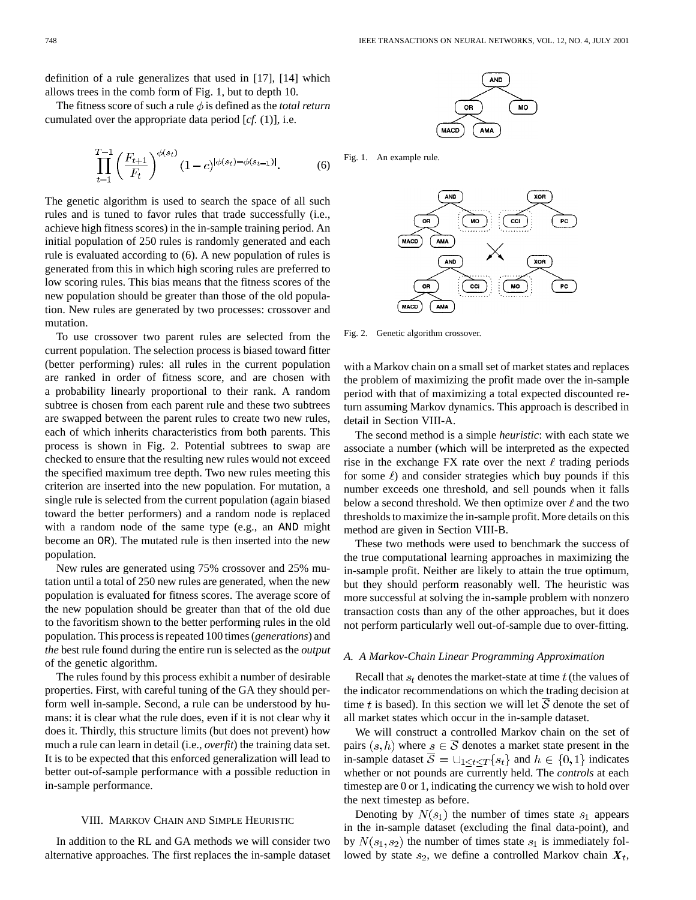definition of a rule generalizes that used in [17], [14] which allows trees in the comb form of Fig. 1, but to depth 10.

The fitness score of such a rule  $\phi$  is defined as the *total return* cumulated over the appropriate data period [*cf.* (1)], i.e.

$$
\prod_{t=1}^{T-1} \left( \frac{F_{t+1}}{F_t} \right)^{\phi(s_t)} (1-c)^{|\phi(s_t) - \phi(s_{t-1})|}.
$$
 (6)

The genetic algorithm is used to search the space of all such rules and is tuned to favor rules that trade successfully (i.e., achieve high fitness scores) in the in-sample training period. An initial population of 250 rules is randomly generated and each rule is evaluated according to (6). A new population of rules is generated from this in which high scoring rules are preferred to low scoring rules. This bias means that the fitness scores of the new population should be greater than those of the old population. New rules are generated by two processes: crossover and mutation.

To use crossover two parent rules are selected from the current population. The selection process is biased toward fitter (better performing) rules: all rules in the current population are ranked in order of fitness score, and are chosen with a probability linearly proportional to their rank. A random subtree is chosen from each parent rule and these two subtrees are swapped between the parent rules to create two new rules, each of which inherits characteristics from both parents. This process is shown in Fig. 2. Potential subtrees to swap are checked to ensure that the resulting new rules would not exceed the specified maximum tree depth. Two new rules meeting this criterion are inserted into the new population. For mutation, a single rule is selected from the current population (again biased toward the better performers) and a random node is replaced with a random node of the same type (e.g., an AND might become an OR). The mutated rule is then inserted into the new population.

New rules are generated using 75% crossover and 25% mutation until a total of 250 new rules are generated, when the new population is evaluated for fitness scores. The average score of the new population should be greater than that of the old due to the favoritism shown to the better performing rules in the old population. This process is repeated 100 times (*generations*) and *the* best rule found during the entire run is selected as the *output* of the genetic algorithm.

The rules found by this process exhibit a number of desirable properties. First, with careful tuning of the GA they should perform well in-sample. Second, a rule can be understood by humans: it is clear what the rule does, even if it is not clear why it does it. Thirdly, this structure limits (but does not prevent) how much a rule can learn in detail (i.e., *overfit*) the training data set. It is to be expected that this enforced generalization will lead to better out-of-sample performance with a possible reduction in in-sample performance.

## VIII. MARKOV CHAIN AND SIMPLE HEURISTIC

In addition to the RL and GA methods we will consider two alternative approaches. The first replaces the in-sample dataset



Fig. 1. An example rule.



Fig. 2. Genetic algorithm crossover.

with a Markov chain on a small set of market states and replaces the problem of maximizing the profit made over the in-sample period with that of maximizing a total expected discounted return assuming Markov dynamics. This approach is described in detail in Section VIII-A.

The second method is a simple *heuristic*: with each state we associate a number (which will be interpreted as the expected rise in the exchange FX rate over the next  $\ell$  trading periods for some  $\ell$ ) and consider strategies which buy pounds if this number exceeds one threshold, and sell pounds when it falls below a second threshold. We then optimize over  $\ell$  and the two thresholds to maximize the in-sample profit. More details on this method are given in Section VIII-B.

These two methods were used to benchmark the success of the true computational learning approaches in maximizing the in-sample profit. Neither are likely to attain the true optimum, but they should perform reasonably well. The heuristic was more successful at solving the in-sample problem with nonzero transaction costs than any of the other approaches, but it does not perform particularly well out-of-sample due to over-fitting.

# *A. A Markov-Chain Linear Programming Approximation*

Recall that  $s_t$  denotes the market-state at time t (the values of the indicator recommendations on which the trading decision at time t is based). In this section we will let  $\overline{S}$  denote the set of all market states which occur in the in-sample dataset.

We will construct a controlled Markov chain on the set of pairs  $(s, h)$  where  $s \in \overline{S}$  denotes a market state present in the in-sample dataset  $\overline{S} = \bigcup_{1 \leq t \leq T} \{s_t\}$  and  $h \in \{0, 1\}$  indicates whether or not pounds are currently held. The *controls* at each timestep are 0 or 1, indicating the currency we wish to hold over the next timestep as before.

Denoting by  $N(s_1)$  the number of times state  $s_1$  appears in the in-sample dataset (excluding the final data-point), and by  $N(s_1, s_2)$  the number of times state  $s_1$  is immediately followed by state  $s_2$ , we define a controlled Markov chain  $X_t$ ,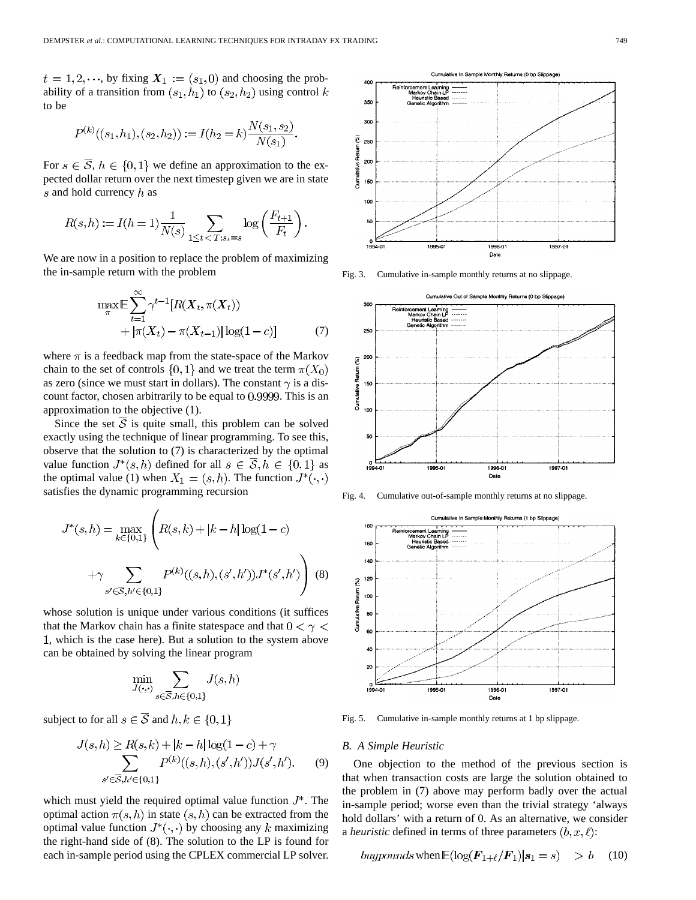$t = 1, 2, \dots$ , by fixing  $X_1 := (s_1, 0)$  and choosing the probability of a transition from  $(s_1, h_1)$  to  $(s_2, h_2)$  using control k to be

$$
P^{(k)}((s_1, h_1), (s_2, h_2)) := I(h_2 = k) \frac{N(s_1, s_2)}{N(s_1)}.
$$

For  $s \in \overline{S}$ ,  $h \in \{0,1\}$  we define an approximation to the expected dollar return over the next timestep given we are in state s and hold currency  $h$  as

$$
R(s,h) := I(h = 1) \frac{1}{N(s)} \sum_{1 \le t < T : s_t = s} \log\left(\frac{F_{t+1}}{F_t}\right).
$$

We are now in a position to replace the problem of maximizing the in-sample return with the problem

$$
\max_{\pi} \mathbb{E} \sum_{t=1}^{\infty} \gamma^{t-1} [R(X_t, \pi(X_t)) + |\pi(X_t) - \pi(X_{t-1})| \log(1 - c)] \tag{7}
$$

where  $\pi$  is a feedback map from the state-space of the Markov chain to the set of controls  $\{0, 1\}$  and we treat the term  $\pi(X_0)$ as zero (since we must start in dollars). The constant  $\gamma$  is a discount factor, chosen arbitrarily to be equal to  $0.9999$ . This is an approximation to the objective (1).

Since the set  $\overline{S}$  is quite small, this problem can be solved exactly using the technique of linear programming. To see this, observe that the solution to (7) is characterized by the optimal value function  $J^*(s,h)$  defined for all  $s \in \overline{S}, h \in \{0,1\}$  as the optimal value (1) when  $X_1 = (s, h)$ . The function  $J^*(\cdot, \cdot)$ satisfies the dynamic programming recursion

$$
J^*(s,h) = \max_{k \in \{0,1\}} \left( R(s,k) + |k-h| \log(1-c) + \gamma \sum_{s' \in \overline{S}, h' \in \{0,1\}} P^{(k)}((s,h),(s',h')) J^*(s',h') \right) \tag{8}
$$

whose solution is unique under various conditions (it suffices that the Markov chain has a finite statespace and that  $0 < \gamma <$ , which is the case here). But a solution to the system above can be obtained by solving the linear program

$$
\min_{J(\cdot,\cdot)} \sum_{s \in \overline{\mathcal{S}}, h \in \{0,1\}} J(s,h)
$$

subject to for all  $s \in \overline{S}$  and  $h, k \in \{0, 1\}$ 

$$
J(s,h) \ge R(s,k) + |k - h| \log(1 - c) + \gamma
$$
  

$$
\sum_{s' \in \overline{S}, h' \in \{0,1\}} P^{(k)}((s,h),(s',h')) J(s',h').
$$
 (9)

which must yield the required optimal value function  $J^*$ . The optimal action  $\pi(s,h)$  in state  $(s,h)$  can be extracted from the optimal value function  $J^*(\cdot, \cdot)$  by choosing any k maximizing the right-hand side of (8). The solution to the LP is found for each in-sample period using the CPLEX commercial LP solver.



Fig. 3. Cumulative in-sample monthly returns at no slippage.



Fig. 4. Cumulative out-of-sample monthly returns at no slippage.



Fig. 5. Cumulative in-sample monthly returns at 1 bp slippage.

#### *B. A Simple Heuristic*

One objection to the method of the previous section is that when transaction costs are large the solution obtained to the problem in (7) above may perform badly over the actual in-sample period; worse even than the trivial strategy 'always hold dollars' with a return of 0. As an alternative, we consider a *heuristic* defined in terms of three parameters  $(b, x, \ell)$ :

*buypounds* when 
$$
\mathbb{E}(\log(\mathbf{F}_{1+\ell}/\mathbf{F}_1)|\mathbf{s}_1 = s) > b
$$
 (10)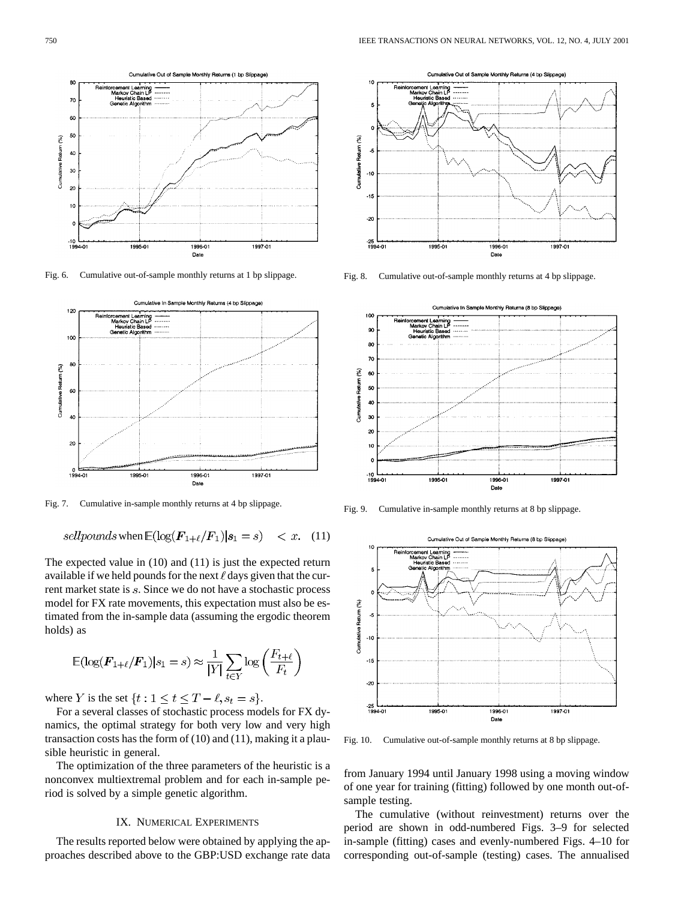

Fig. 6. Cumulative out-of-sample monthly returns at 1 bp slippage.



Fig. 7. Cumulative in-sample monthly returns at 4 bp slippage.

*sellpounds* when 
$$
\mathbb{E}(\log(F_{1+\ell}/F_1)|\mathbf{s}_1 = s)
$$
 <  $x$ . (11)

The expected value in (10) and (11) is just the expected return available if we held pounds for the next  $\ell$  days given that the current market state is s. Since we do not have a stochastic process model for FX rate movements, this expectation must also be estimated from the in-sample data (assuming the ergodic theorem holds) as

$$
E(\log(F_{1+\ell}/F_1)|s_1 = s) \approx \frac{1}{|Y|} \sum_{t \in Y} \log\left(\frac{F_{t+\ell}}{F_t}\right)
$$

where Y is the set  $\{t : 1 \le t \le T - \ell, s_t = s\}.$ 

For a several classes of stochastic process models for FX dynamics, the optimal strategy for both very low and very high transaction costs has the form of (10) and (11), making it a plausible heuristic in general.

The optimization of the three parameters of the heuristic is a nonconvex multiextremal problem and for each in-sample period is solved by a simple genetic algorithm.

## IX. NUMERICAL EXPERIMENTS

The results reported below were obtained by applying the approaches described above to the GBP:USD exchange rate data



Fig. 8. Cumulative out-of-sample monthly returns at 4 bp slippage.



Fig. 9. Cumulative in-sample monthly returns at 8 bp slippage.



Fig. 10. Cumulative out-of-sample monthly returns at 8 bp slippage.

from January 1994 until January 1998 using a moving window of one year for training (fitting) followed by one month out-ofsample testing.

The cumulative (without reinvestment) returns over the period are shown in odd-numbered Figs. 3–9 for selected in-sample (fitting) cases and evenly-numbered Figs. 4–10 for corresponding out-of-sample (testing) cases. The annualised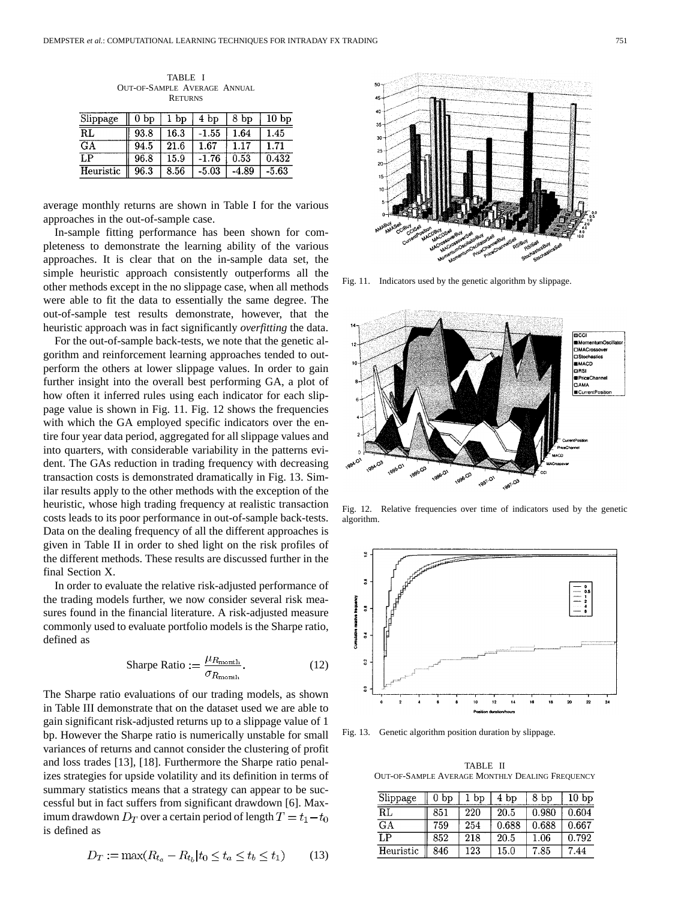TABLE I OUT-OF-SAMPLE AVERAGE ANNUAL **RETURNS** 

| Slippage  | 0 <sub>bp</sub> | 1 <sub>bp</sub> | 4bp     | 8 <sub>bp</sub> | 10 b <sub>D</sub> |
|-----------|-----------------|-----------------|---------|-----------------|-------------------|
| RL        | 93.8            | 16.3            | $-1.55$ | 1.64            | $_{1.45}$         |
| GA        | 94.5            | 21.6            | 1.67    | $17^{-}$        | 1.71              |
| LP.       | 96.8            | 15.9            | $-1.76$ | 0.53            | 0.432             |
| Heuristic | 96.3            | 8.56            | -5.03   | -4.89           | -5.63             |

average monthly returns are shown in Table I for the various approaches in the out-of-sample case.

In-sample fitting performance has been shown for completeness to demonstrate the learning ability of the various approaches. It is clear that on the in-sample data set, the simple heuristic approach consistently outperforms all the other methods except in the no slippage case, when all methods were able to fit the data to essentially the same degree. The out-of-sample test results demonstrate, however, that the heuristic approach was in fact significantly *overfitting* the data.

For the out-of-sample back-tests, we note that the genetic algorithm and reinforcement learning approaches tended to outperform the others at lower slippage values. In order to gain further insight into the overall best performing GA, a plot of how often it inferred rules using each indicator for each slippage value is shown in Fig. 11. Fig. 12 shows the frequencies with which the GA employed specific indicators over the entire four year data period, aggregated for all slippage values and into quarters, with considerable variability in the patterns evident. The GAs reduction in trading frequency with decreasing transaction costs is demonstrated dramatically in Fig. 13. Similar results apply to the other methods with the exception of the heuristic, whose high trading frequency at realistic transaction costs leads to its poor performance in out-of-sample back-tests. Data on the dealing frequency of all the different approaches is given in Table II in order to shed light on the risk profiles of the different methods. These results are discussed further in the final Section X.

In order to evaluate the relative risk-adjusted performance of the trading models further, we now consider several risk measures found in the financial literature. A risk-adjusted measure commonly used to evaluate portfolio models is the Sharpe ratio, defined as

$$
\text{Sharpe Ratio} := \frac{\mu_{R_{\text{month}}}}{\sigma_{R_{\text{month}}}}.\tag{12}
$$

The Sharpe ratio evaluations of our trading models, as shown in Table III demonstrate that on the dataset used we are able to gain significant risk-adjusted returns up to a slippage value of 1 bp. However the Sharpe ratio is numerically unstable for small variances of returns and cannot consider the clustering of profit and loss trades [13], [18]. Furthermore the Sharpe ratio penalizes strategies for upside volatility and its definition in terms of summary statistics means that a strategy can appear to be successful but in fact suffers from significant drawdown [6]. Maximum drawdown  $D_T$  over a certain period of length  $T = t_1 - t_0$ is defined as

$$
D_T := \max(R_{t_a} - R_{t_b} | t_0 \le t_a \le t_b \le t_1)
$$
 (13)



Fig. 11. Indicators used by the genetic algorithm by slippage.



Fig. 12. Relative frequencies over time of indicators used by the genetic algorithm.



Fig. 13. Genetic algorithm position duration by slippage.

TABLE II OUT-OF-SAMPLE AVERAGE MONTHLY DEALING FREQUENCY

| Slippage  | 0 <sub>bp</sub> | 1 <sub>bp</sub> | 4 bp  | 8 bp     | $10\;{\rm bp}$ |
|-----------|-----------------|-----------------|-------|----------|----------------|
| RL        | 851             | 220             | 20.5  | 0.980    | 0.604          |
| GА        | 759             | 254             | 0.688 | 0.688    | 0.667          |
| LP.       | 852             | 218             | 20.5  | $1.06\,$ | 0.792          |
| Heuristic | 846             | 123             | 15.0  | 7.85     | 7.44           |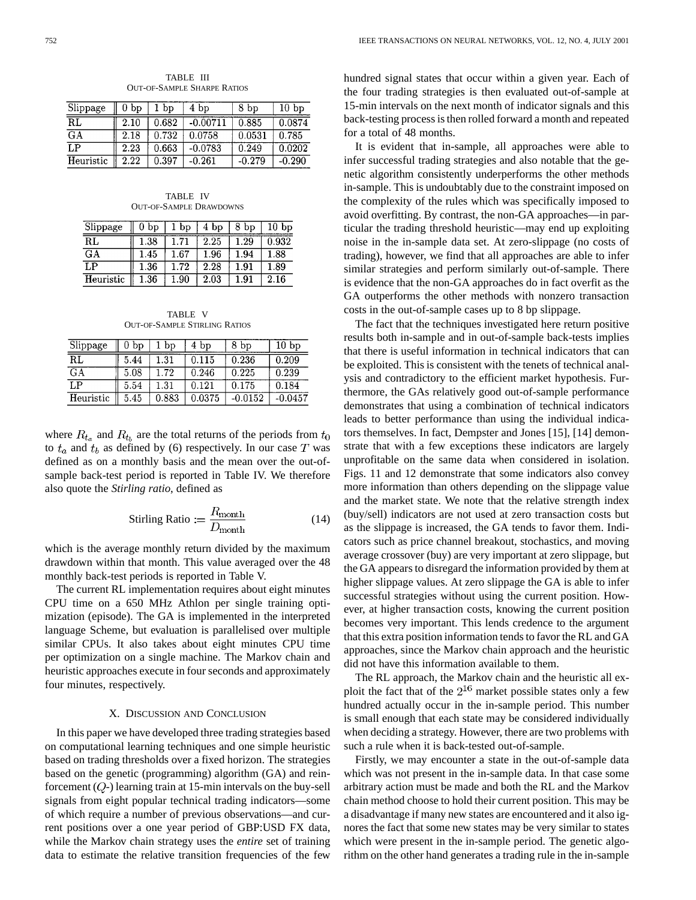| Slippage               | 0 <sub>b</sub> | 1 <sub>bp</sub> | 4 <sub>bp</sub> | 8 <sub>bp</sub> | 10 <sub>b</sub> |
|------------------------|----------------|-----------------|-----------------|-----------------|-----------------|
| RL                     | 2.10           | 0.682           | $-0.00711$      | 0.885           | 0.0874          |
| $\overline{GA}$        | 2.18           | 0.732           | 0.0758          | 0.0531          | 0.785           |
| $\overline{\text{LP}}$ | 2.23           | 0.663           | $-0.0783$       | 0.249           | 0.0202          |
| Heuristic              | 2.22           | 0.397           | $-0.261$        | $-0.279$        | $-0.290$        |

TABLE III OUT-OF-SAMPLE SHARPE RATIOS

| TABLE IV                |  |
|-------------------------|--|
| OUT-OF-SAMPLE DRAWDOWNS |  |

| Slippage  | bp       | 1 bp | 4 bp | $8\ \mathrm{bp}$ | 10 b <sub>p</sub> |
|-----------|----------|------|------|------------------|-------------------|
| RL        | $1.38\,$ | 1.71 | 2.25 | $1.29\,$         | 0.932             |
| <b>GA</b> | 1.45     | 1.67 | 1.96 | 1.94             | 1.88              |
| LP        | $1.36\,$ | 1.72 | 2.28 | 1.91             | 1.89              |
| Heuristic | 1.36     | 1.90 | 2.03 | 1.91             | 2.16              |

TABLE V OUT-OF-SAMPLE STIRLING RATIOS

| Slippage  | bp<br>υ | bp    | 4 bp   | 8 bp      | 10 <sub>bp</sub> |
|-----------|---------|-------|--------|-----------|------------------|
| RL        | 5.44    | 1.31  | 0.115  | 0.236     | 0.209            |
| GA        | 5.08    | 1.72  | 0.246  | 0.225     | 0.239            |
| LP        | 5.54    | 1.31  | 0.121  | 0.175     | 0.184            |
| Heuristic | 5.45    | 0.883 | 0.0375 | $-0.0152$ | $-0.0457$        |

where  $R_{t_a}$  and  $R_{t_b}$  are the total returns of the periods from  $t_0$ to  $t_a$  and  $t_b$  as defined by (6) respectively. In our case T was defined as on a monthly basis and the mean over the out-ofsample back-test period is reported in Table IV. We therefore also quote the *Stirling ratio*, defined as

$$
\text{Stirling Ratio} := \frac{R_{\text{month}}}{D_{\text{month}}} \tag{14}
$$

which is the average monthly return divided by the maximum drawdown within that month. This value averaged over the 48 monthly back-test periods is reported in Table V.

The current RL implementation requires about eight minutes CPU time on a 650 MHz Athlon per single training optimization (episode). The GA is implemented in the interpreted language Scheme, but evaluation is parallelised over multiple similar CPUs. It also takes about eight minutes CPU time per optimization on a single machine. The Markov chain and heuristic approaches execute in four seconds and approximately four minutes, respectively.

# X. DISCUSSION AND CONCLUSION

In this paper we have developed three trading strategies based on computational learning techniques and one simple heuristic based on trading thresholds over a fixed horizon. The strategies based on the genetic (programming) algorithm (GA) and reinforcement  $(Q)$  learning train at 15-min intervals on the buy-sell signals from eight popular technical trading indicators—some of which require a number of previous observations—and current positions over a one year period of GBP:USD FX data, while the Markov chain strategy uses the *entire* set of training data to estimate the relative transition frequencies of the few hundred signal states that occur within a given year. Each of the four trading strategies is then evaluated out-of-sample at 15-min intervals on the next month of indicator signals and this back-testing process is then rolled forward a month and repeated for a total of 48 months.

It is evident that in-sample, all approaches were able to infer successful trading strategies and also notable that the genetic algorithm consistently underperforms the other methods in-sample. This is undoubtably due to the constraint imposed on the complexity of the rules which was specifically imposed to avoid overfitting. By contrast, the non-GA approaches—in particular the trading threshold heuristic—may end up exploiting noise in the in-sample data set. At zero-slippage (no costs of trading), however, we find that all approaches are able to infer similar strategies and perform similarly out-of-sample. There is evidence that the non-GA approaches do in fact overfit as the GA outperforms the other methods with nonzero transaction costs in the out-of-sample cases up to 8 bp slippage.

The fact that the techniques investigated here return positive results both in-sample and in out-of-sample back-tests implies that there is useful information in technical indicators that can be exploited. This is consistent with the tenets of technical analysis and contradictory to the efficient market hypothesis. Furthermore, the GAs relatively good out-of-sample performance demonstrates that using a combination of technical indicators leads to better performance than using the individual indicators themselves. In fact, Dempster and Jones [15], [14] demonstrate that with a few exceptions these indicators are largely unprofitable on the same data when considered in isolation. Figs. 11 and 12 demonstrate that some indicators also convey more information than others depending on the slippage value and the market state. We note that the relative strength index (buy/sell) indicators are not used at zero transaction costs but as the slippage is increased, the GA tends to favor them. Indicators such as price channel breakout, stochastics, and moving average crossover (buy) are very important at zero slippage, but the GA appears to disregard the information provided by them at higher slippage values. At zero slippage the GA is able to infer successful strategies without using the current position. However, at higher transaction costs, knowing the current position becomes very important. This lends credence to the argument that this extra position information tends to favor the RL and GA approaches, since the Markov chain approach and the heuristic did not have this information available to them.

The RL approach, the Markov chain and the heuristic all exploit the fact that of the  $2^{16}$  market possible states only a few hundred actually occur in the in-sample period. This number is small enough that each state may be considered individually when deciding a strategy. However, there are two problems with such a rule when it is back-tested out-of-sample.

Firstly, we may encounter a state in the out-of-sample data which was not present in the in-sample data. In that case some arbitrary action must be made and both the RL and the Markov chain method choose to hold their current position. This may be a disadvantage if many new states are encountered and it also ignores the fact that some new states may be very similar to states which were present in the in-sample period. The genetic algorithm on the other hand generates a trading rule in the in-sample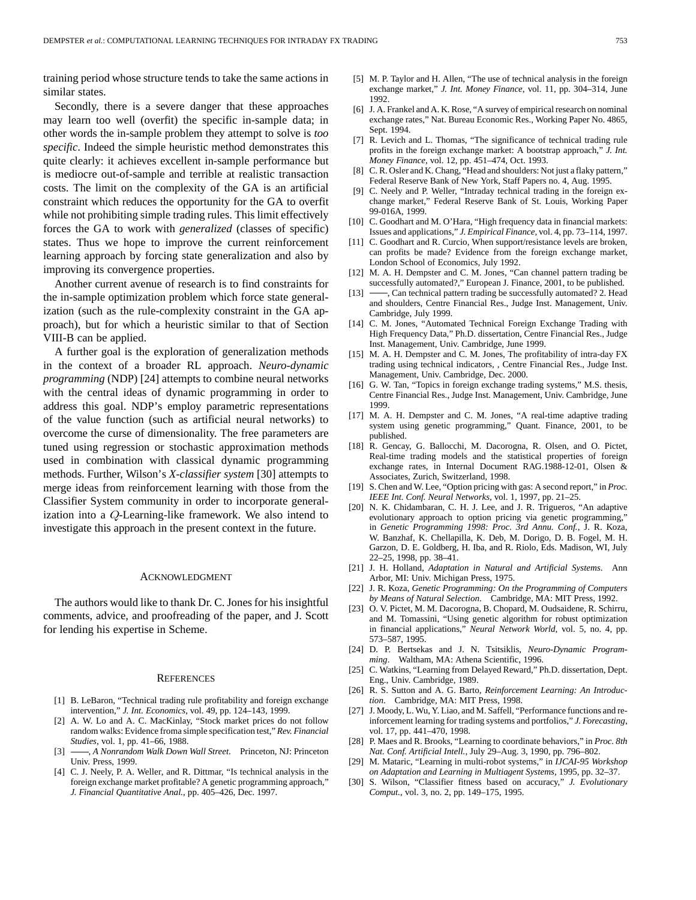training period whose structure tends to take the same actions in similar states.

Secondly, there is a severe danger that these approaches may learn too well (overfit) the specific in-sample data; in other words the in-sample problem they attempt to solve is *too specific*. Indeed the simple heuristic method demonstrates this quite clearly: it achieves excellent in-sample performance but is mediocre out-of-sample and terrible at realistic transaction costs. The limit on the complexity of the GA is an artificial constraint which reduces the opportunity for the GA to overfit while not prohibiting simple trading rules. This limit effectively forces the GA to work with *generalized* (classes of specific) states. Thus we hope to improve the current reinforcement learning approach by forcing state generalization and also by improving its convergence properties.

Another current avenue of research is to find constraints for the in-sample optimization problem which force state generalization (such as the rule-complexity constraint in the GA approach), but for which a heuristic similar to that of Section VIII-B can be applied.

A further goal is the exploration of generalization methods in the context of a broader RL approach. *Neuro-dynamic programming* (NDP) [24] attempts to combine neural networks with the central ideas of dynamic programming in order to address this goal. NDP's employ parametric representations of the value function (such as artificial neural networks) to overcome the curse of dimensionality. The free parameters are tuned using regression or stochastic approximation methods used in combination with classical dynamic programming methods. Further, Wilson's *X-classifier system* [30] attempts to merge ideas from reinforcement learning with those from the Classifier System community in order to incorporate generalization into a  $Q$ -Learning-like framework. We also intend to investigate this approach in the present context in the future.

#### ACKNOWLEDGMENT

The authors would like to thank Dr. C. Jones for his insightful comments, advice, and proofreading of the paper, and J. Scott for lending his expertise in Scheme.

#### **REFERENCES**

- [1] B. LeBaron, "Technical trading rule profitability and foreign exchange intervention," *J. Int. Economics*, vol. 49, pp. 124–143, 1999.
- [2] A. W. Lo and A. C. MacKinlay, "Stock market prices do not follow random walks: Evidence froma simple specification test," *Rev. Financial Studies*, vol. 1, pp. 41–66, 1988.
- [3] , *A Nonrandom Walk Down Wall Street*. Princeton, NJ: Princeton Univ. Press, 1999.
- [4] C. J. Neely, P. A. Weller, and R. Dittmar, "Is technical analysis in the foreign exchange market profitable? A genetic programming approach," *J. Financial Quantitative Anal.*, pp. 405–426, Dec. 1997.
- [5] M. P. Taylor and H. Allen, "The use of technical analysis in the foreign exchange market," *J. Int. Money Finance*, vol. 11, pp. 304–314, June 1992.
- [6] J. A. Frankel and A. K. Rose, "A survey of empirical research on nominal exchange rates," Nat. Bureau Economic Res., Working Paper No. 4865, Sept. 1994.
- [7] R. Levich and L. Thomas, "The significance of technical trading rule profits in the foreign exchange market: A bootstrap approach," *J. Int. Money Finance*, vol. 12, pp. 451–474, Oct. 1993.
- [8] C. R. Osler and K. Chang, "Head and shoulders: Not just a flaky pattern," Federal Reserve Bank of New York, Staff Papers no. 4, Aug. 1995.
- C. Neely and P. Weller, "Intraday technical trading in the foreign exchange market," Federal Reserve Bank of St. Louis, Working Paper 99-016A, 1999.
- [10] C. Goodhart and M. O'Hara, "High frequency data in financial markets: Issues and applications," *J. Empirical Finance*, vol. 4, pp. 73–114, 1997.
- [11] C. Goodhart and R. Curcio, When support/resistance levels are broken, can profits be made? Evidence from the foreign exchange market, London School of Economics, July 1992.
- [12] M. A. H. Dempster and C. M. Jones, "Can channel pattern trading be successfully automated?," European J. Finance, 2001, to be published.
- [13]  $\rightarrow$ , Can technical pattern trading be successfully automated? 2. Head and shoulders, Centre Financial Res., Judge Inst. Management, Univ. Cambridge, July 1999.
- [14] C. M. Jones, "Automated Technical Foreign Exchange Trading with High Frequency Data," Ph.D. dissertation, Centre Financial Res., Judge Inst. Management, Univ. Cambridge, June 1999.
- [15] M. A. H. Dempster and C. M. Jones, The profitability of intra-day FX trading using technical indicators, , Centre Financial Res., Judge Inst. Management, Univ. Cambridge, Dec. 2000.
- [16] G. W. Tan, "Topics in foreign exchange trading systems," M.S. thesis, Centre Financial Res., Judge Inst. Management, Univ. Cambridge, June 1999.
- [17] M. A. H. Dempster and C. M. Jones, "A real-time adaptive trading system using genetic programming," Quant. Finance, 2001, to be published.
- [18] R. Gencay, G. Ballocchi, M. Dacorogna, R. Olsen, and O. Pictet, Real-time trading models and the statistical properties of foreign exchange rates, in Internal Document RAG.1988-12-01, Olsen & Associates, Zurich, Switzerland, 1998.
- [19] S. Chen and W. Lee, "Option pricing with gas: A second report," in *Proc. IEEE Int. Conf. Neural Networks*, vol. 1, 1997, pp. 21–25.
- [20] N. K. Chidambaran, C. H. J. Lee, and J. R. Trigueros, "An adaptive evolutionary approach to option pricing via genetic programming," in *Genetic Programming 1998: Proc. 3rd Annu. Conf.*, J. R. Koza, W. Banzhaf, K. Chellapilla, K. Deb, M. Dorigo, D. B. Fogel, M. H. Garzon, D. E. Goldberg, H. Iba, and R. Riolo, Eds. Madison, WI, July 22–25, 1998, pp. 38–41.
- [21] J. H. Holland, *Adaptation in Natural and Artificial Systems*. Ann Arbor, MI: Univ. Michigan Press, 1975.
- [22] J. R. Koza, *Genetic Programming: On the Programming of Computers by Means of Natural Selection*. Cambridge, MA: MIT Press, 1992.
- [23] O. V. Pictet, M. M. Dacorogna, B. Chopard, M. Oudsaidene, R. Schirru, and M. Tomassini, "Using genetic algorithm for robust optimization in financial applications," *Neural Network World*, vol. 5, no. 4, pp. 573–587, 1995.
- [24] D. P. Bertsekas and J. N. Tsitsiklis, *Neuro-Dynamic Programming*. Waltham, MA: Athena Scientific, 1996.
- [25] C. Watkins, "Learning from Delayed Reward," Ph.D. dissertation, Dept. Eng., Univ. Cambridge, 1989.
- [26] R. S. Sutton and A. G. Barto, *Reinforcement Learning: An Introduction*. Cambridge, MA: MIT Press, 1998.
- [27] J. Moody, L. Wu, Y. Liao, and M. Saffell, "Performance functions and reinforcement learning for trading systems and portfolios," *J. Forecasting*, vol. 17, pp. 441–470, 1998.
- [28] P. Maes and R. Brooks, "Learning to coordinate behaviors," in *Proc. 8th Nat. Conf. Artificial Intell.*, July 29–Aug. 3, 1990, pp. 796–802.
- [29] M. Mataric, "Learning in multi-robot systems," in *IJCAI-95 Workshop on Adaptation and Learning in Multiagent Systems*, 1995, pp. 32–37.
- [30] S. Wilson, "Classifier fitness based on accuracy," *J. Evolutionary Comput.*, vol. 3, no. 2, pp. 149–175, 1995.